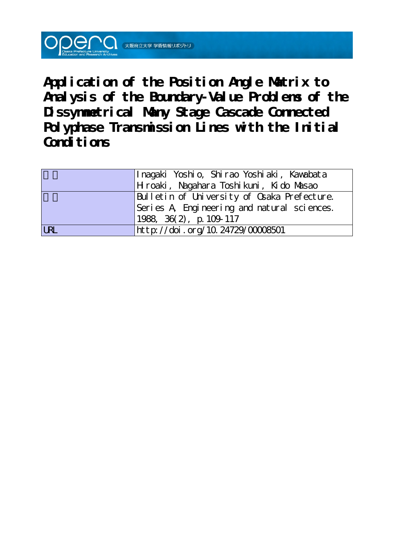**Application of the Position Angle Matrix to Analysis of the Boundary-Value Problems of the Dissymmetrical Many Stage Cascade Connected Polyphase Transmission Lines with the Initial** Conditions

|            | Inagaki Yoshio, Shirao Yoshiaki, Kawabata   |
|------------|---------------------------------------------|
|            | Hroaki, Nagahara Toshikuni, Kido Masao      |
|            | Bulletin of University of Osaka Prefecture. |
|            | Series A Engineering and natural sciences.  |
|            | $1988, 36(2)$ , p. 109-117                  |
| <b>LRL</b> | http://doi.org/10.24729/00008501            |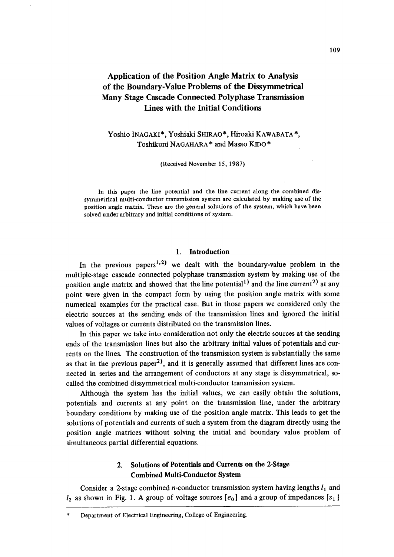# Application of the Position Angle Matrix to Analysis of the Boundary-Value Problems of the Dissymmetrical Many Stage Cascade Connected Polyphase Transmission Lines with the Initial Conditions

# Yoshio INAGAKI', Yoshiaki SHIRAO", Hiroaki KAWABATA\*, Toshikuni NAGAHARA\* and Masao KIDO\*

(Received November 15, 1987)

In this paper the line potential and the line current along the combined dissymmetrica! multi-conductor transmission system are calculated by making use of the position angle matrix. These are the general solutions of the system, which have been solved under arbitrary and initial conditions of system.

### 1. Introduction

In the previous papers<sup>1,2)</sup> we dealt with the boundary-value problem in the multiple-stage cascade connected polyphase transmission system by making use of the position angle matrix and showed that the line potential<sup>1)</sup> and the line current<sup>2)</sup> at any point were given in the compact form by using the position angle matrix with some numerical examples for the practical case. But in those papers we considered only the electric sources at the sending ends of the transmission lines and ignored the initial values of voltages or currents distributed on the transmission lines.

 In this paper we take into consideration not only the eiectric sources at the sending ends of the transmission lines but also the arbitrary initial values of potentials and currents on the 1ines. The construction of the transmission system is substantially the same as that in the previous paper<sup>2)</sup>, and it is generally assumed that different lines are connected in series and the arrangement of conductors at any stage is dissymmetrical, socalled the combined dissymmetrical multi-conductor transmission system.

 Although the system has the initial values, we can easily obtain the solutions, potentials and currents at any point on the transmission line, under the arbitrary boundary conditions by making use of the position angle matrix. This leads to get the solutions of potentials and currents of such a system from the diagram directly using the position angle matrices without solving the initial and boundary value problem of simultaneous partial differential equations.

## 2. Solutions of Potentials and Currents on the 2-Stage Combined Multi-Conductor System

Consider a 2-stage combined *n*-conductor transmission system having lengths  $l_1$  and  $l_2$  as shown in Fig. 1. A group of voltage sources  $[e_0]$  and a group of impedances  $[z_1]$ 

Department of Electrical Engineering, College of Engineering.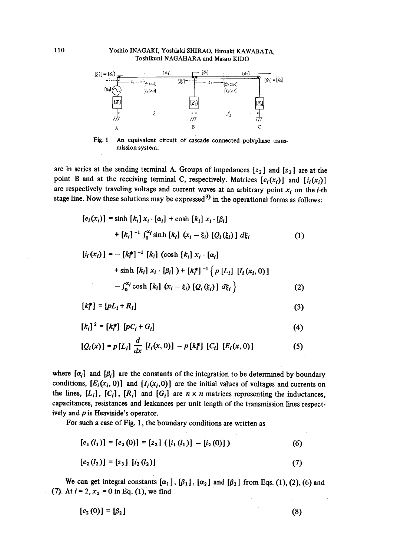#### Yoshio INAGAKI, Yoshjaki SHIRAO, Hiroaki KAWABATA, Toshikuni NAGAHARA and Masao KIDO



 $Fig. 1$ An equivalent circuit of cascade connected polyphase trans mission system.

are in series at the sending terminal A. Groups of impedances  $[z_2]$  and  $[z_3]$  are at the point B and at the receiving terminal C, respectively. Matrices  $[e_i(x_i)]$  and  $[i_i(x_i)]$ are respectively traveling voltage and current waves at an arbitrary point  $x_i$  on the *i*-th stage line. Now these solutions may be expressed<sup>3)</sup> in the operational forms as follows:

$$
[e_i(x_i)] = \sinh [k_i] x_i \cdot [\alpha_i] + \cosh [k_i] x_i \cdot [\beta_i]
$$

$$
+ [k_i]^{-1} \int_0^{x_i} \sinh [k_i] (x_i - \xi_i) [Q_i(\xi_i)] d\xi_i
$$
 (1)

$$
[i_i(x_i)] = - [k_i^*]^{-1} [k_i] (\cosh [k_i] x_i \cdot [\alpha_i]
$$
  
+ sinh [k\_i] x\_i \cdot [\beta\_i]) + [k\_i^\*]^{-1} {p [L\_i] [I\_i(x\_i, 0)]  
-  $\int_0^{x_i} \cosh [k_i] (x_i - \xi_i) [Q_i(\xi_i)] d\xi_i$  } (2)

$$
[k_i^*] = [pL_i + R_i]
$$
\n(3)

$$
[k_i]^2 = [k_i^*] [pC_i + G_i]
$$
 (4)

$$
[Q_i(x)] = p[L_i] \frac{d}{dx} [I_i(x, 0)] - p[k_i^*] [C_i] [E_i(x, 0)] \qquad (5)
$$

where  $[\alpha_i]$  and  $[\beta_i]$  are the constants of the integration to be determined by boundary conditions,  $[E_i(x_i, 0)]$  and  $[I_i(x_i, 0)]$  are the initial values of voltages and currents on the lines,  $[L_i]$ ,  $[C_i]$ ,  $[R_i]$  and  $[G_i]$  are  $n \times n$  matrices representing the inductances, capacitances, resistances and leakances per unit length of the transmission lines respectively and  $p$  is Heaviside's operator.

For such a case of Fig. 1, the boundary conditions are written as

$$
[e1(l1)] = [e2(0)] = [z2] ([i1(l1)] - [i2(0)])
$$
 (6)

$$
[e_2(l_2)] = [z_3] [i_2(l_2)] \tag{7}
$$

We can get integral constants  $[\alpha_1]$ ,  $[\beta_1]$ ,  $[\alpha_2]$  and  $[\beta_2]$  from Eqs. (1), (2), (6) and (7). At  $i = 2$ ,  $x_2 = 0$  in Eq. (1), we find

$$
[e_2(0)] = [\beta_2] \tag{8}
$$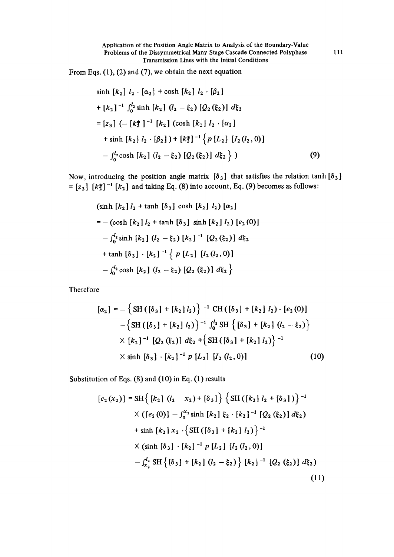From Eqs. (1), (2) and (7), we obtain the next equation

$$
\sinh [k_2] l_2 \cdot [\alpha_2] + \cosh [k_2] l_2 \cdot [\beta_2]
$$
  
+  $[k_2]^{-1} \int_0^{l_2} \sinh [k_2] (l_2 - \xi_2) [Q_2(\xi_2)] d\xi_2$   
=  $[z_3] (- [k_2^*]^{-1} [k_2] (\cosh [k_2] l_2 \cdot [\alpha_2])$   
+  $\sinh [k_2] l_2 \cdot [\beta_2]) + [k_2^*]^{-1} \{ p [L_2] [l_2(l_2, 0)]$   
-  $\int_0^{l_2} \cosh [k_2] (l_2 - \xi_2) [Q_2(\xi_2)] d\xi_2 \}$  (9)

Now, introducing the position angle matrix  $[\delta_3]$  that satisfies the relation tanh  $[\delta_3]$  $= [z_3]$   $[k_2^*]$ <sup>-1</sup>  $[k_2]$  and taking Eq. (8) into account, Eq. (9) becomes as follows:

$$
(\sinh [k_2] l_2 + \tanh [\delta_3] \cosh [k_2] l_2) [\alpha_2]
$$
  
= - (\cosh [k\_2] l\_2 + \tanh [\delta\_3] \sinh [k\_2] l\_2) [e\_2(0)]  
- \int\_0^{l\_2} \sinh [k\_2] (l\_2 - \xi\_2) [k\_2]^{-1} [Q\_2(\xi\_2)] d\xi\_2  
+ \tanh [\delta\_3] \cdot [k\_2]^{-1} \{ p [L\_2] [l\_2(l\_2, 0)]  
- \int\_0^{l\_2} \cosh [k\_2] (l\_2 - \xi\_2) [Q\_2(\xi\_2)] d\xi\_2 \}

**Therefore** 

$$
[\alpha_2] = -\left\{ \text{SH}\left( [\delta_3] + [k_2] l_2 \right) \right\}^{-1} \text{ CH}\left( [\delta_3] + [k_2] l_2 \right) \cdot [e_2(0)]
$$
  
 
$$
-\left\{ \text{SH}\left( [\delta_3] + [k_2] l_2 \right) \right\}^{-1} \int_0^{l_2} \text{SH}\left\{ [\delta_3] + [k_2] (l_2 - \xi_2) \right\}
$$
  
 
$$
\times [k_2]^{-1} [Q_2(\xi_2)] d\xi_2 + \left\{ \text{SH}\left( [\delta_3] + [k_2] l_2 \right) \right\}^{-1}
$$
  
 
$$
\times \sinh [\delta_3] \cdot [k_2]^{-1} p [L_2] [l_2(l_2, 0)] \tag{10}
$$

Substitution of Eqs. (8) and (1O) in Eq. (1) results

$$
[e_{2}(x_{2})] = SH\{ [k_{2}] (l_{2} - x_{2}) + [\delta_{3}] \} \{ SH([k_{2}] l_{2} + [\delta_{3}]) \}^{-1}
$$
  
 
$$
\times ([e_{2}(0)] - \int_{0}^{x_{2}} \sinh [k_{2}] \xi_{2} \cdot [k_{2}]^{-1} [Q_{2}(\xi_{2})] d\xi_{2})
$$
  
+ sinh [k\_{2}] x\_{2} \cdot \{ SH([\delta\_{3}] + [k\_{2}] l\_{2}) \}^{-1}  

$$
\times (\sinh [\delta_{3}] \cdot [k_{2}]^{-1} p [L_{2}] [l_{2} (l_{2}, 0)]
$$
  
- 
$$
\int_{x_{2}}^{l_{2}} SH\{ [\delta_{3}] + [k_{2}] (l_{2} - \xi_{2}) \} [k_{2}]^{-1} [Q_{2}(\xi_{2})] d\xi_{2})
$$
  
(11)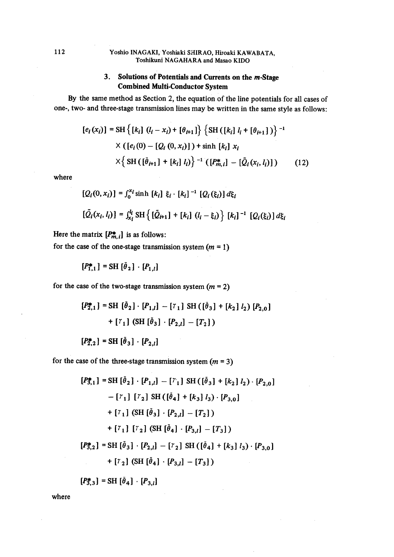### 112 Yoshio lNAGAKI,'Yoshiaki SHIRAO, Hiroaki KAWABATA, Toshikuni NAGAHARA and Masao KIDO

# 3. Solutions of Potentials and Currents on the m-Stage Combined Multi-Conductor System

By the same method as Section 2, the equation of the line potentials for all cases of one-, two- and three-stage transmission lines may be written in the same style as follows:

$$
[e_i(x_i)] = \text{SH}\left\{ [k_i] \ (l_i - x_i) + [\theta_{i+1}] \right\} \left\{ \text{SH}\left( [k_i] \ l_i + [\theta_{i+1}] \right) \right\}^{-1}
$$
  
 
$$
\times \left\{ [e_i(0) - [Q_i(0, x_i)] \right\} + \sinh [k_i] \ x_i
$$
  
 
$$
\times \left\{ \text{SH}\left( [\tilde{\theta}_{i+1}] + [k_i] \ l_i \right) \right\}^{-1} \left( [P_{m,i}^*] - [\tilde{Q}_i(x_i, l_i)] \right) \tag{12}
$$

where

$$
[Q_i(0, x_i)] = \int_0^{x_i} \sinh [k_i] \xi_i \cdot [k_i]^{-1} [Q_i(\xi_i)] d\xi_i
$$
  

$$
[\tilde{Q}_i(x_i, l_i)] = \int_{x_i}^{l_i} \text{SH} \{ [\tilde{Q}_{i+1}] + [k_i] (l_i - \xi_i) \} [k_i]^{-1} [Q_i(\xi_i)] d\xi_i
$$

Here the matrix  $[P_{m,i}^*]$  is as follows:

for the case of the one-stage transmission system  $(m = 1)$ 

 $[P_{1,1}^*] = SH [\tilde{\theta}_2] \cdot [P_{1,l}]$ 

for the case of the two-stage transmission system  $(m = 2)$ 

$$
[P_{2,1}^*] = \text{SH } [\tilde{\theta}_2] \cdot [P_{1,l}] - [r_1] \text{ SH } ([\tilde{\theta}_3] + [k_2] l_2) [P_{2,0}]
$$
  
+ 
$$
[r_1] (\text{SH } [\tilde{\theta}_3] \cdot [P_{2,l}] - [T_2])
$$

$$
[P_{2,2}^*] = \text{SH} [\bar{\theta}_3] \cdot [P_{2,l}]
$$

for the case of the three-stage transmission system  $(m = 3)$ 

$$
[P_{3,1}^*] = \text{SH} \left[ \tilde{\theta}_2 \right] \cdot [P_{1,l}] - [r_1] \text{ SH} \left( \left[ \tilde{\theta}_3 \right] + [k_2] l_2 \right) \cdot [P_{2,0}] - [r_1] [r_2] \text{ SH} \left( \left[ \tilde{\theta}_4 \right] + [k_3] l_3 \right) \cdot [P_{3,0}] + [r_1] \left( \text{SH} \left[ \tilde{\theta}_3 \right] \cdot [P_{2,l}] - [T_2] \right) + [r_1] [r_2] \left( \text{SH} \left[ \tilde{\theta}_4 \right] \cdot [P_{3,l}] - [T_3] \right) = \text{SH} \left[ \tilde{\theta}_3 \right] \cdot [P_{2,l}] - [r_2] \text{ SH} \left( \left[ \tilde{\theta}_4 \right] + [k_3] l_3 \right) \cdot [P_{3,0}] + [r_2] \left( \text{SH} \left[ \tilde{\theta}_4 \right] \cdot [P_{3,l}] - [T_3] \right)
$$

 $[P_{3,3}^{*}] = SH [\tilde{\theta}_4] \cdot [P_{3,l}]$ 

where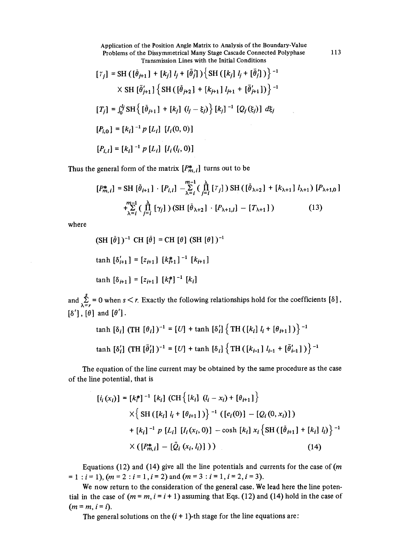Application of the Position Angle Matrix to Analysis of the Boundary-Value Problems of the Dissymmetrical Many Stage Cascade Connected Polyphase 113 Transmission Lines with the Initia1 Conditions

$$
[\tilde{r}_j] = \text{SH } ([\tilde{\theta}_{j+1}] + [k_j] l_j + [\tilde{\theta}_j']) \{ \text{SH } ([k_j] l_j + [\tilde{\theta}_j']) \}^{-1}
$$
  
 
$$
\times \text{ SH } [\tilde{\theta}_{j+1}'] \{ \text{SH } ([\tilde{\theta}_{j+2}] + [k_{j+1}] l_{j+1} + [\tilde{\theta}_{j+1}']) \}^{-1}
$$
  

$$
[T_j] = \int_0^{l_j} \text{SH} \{ [\tilde{\theta}_{j+1}] + [k_j] (l_j - \xi_j) \} [k_j]^{-1} [Q_j(\xi_j)] d\xi_j
$$
  

$$
[P_{i,0}] = [k_i]^{-1} p [L_i] [I_i(0,0)]
$$
  

$$
[P_{i,1}] = [k_i]^{-1} p [L_i] [I_i(l_i,0)]
$$

Thus the general form of the matrix  $[P^*_{m,i}]$  turns out to be

$$
[P_{m,i}^*] = \text{SH} \left[ \tilde{\theta}_{i+1} \right] \cdot [P_{i,1}] - \sum_{\lambda=i}^{m-1} \left( \prod_{j=i}^{\lambda} \left[ \tilde{\tau}_j \right] \right) \text{SH} \left( \left[ \tilde{\theta}_{\lambda+2} \right] + \left[ k_{\lambda+1} \right] l_{\lambda+1} \right) [P_{\lambda+1,0}]
$$
  
+ 
$$
\sum_{\lambda=i}^{m-1} \left( \prod_{j=i}^{\lambda} \left[ \gamma_j \right] \right) \left( \text{SH} \left[ \tilde{\theta}_{\lambda+2} \right] \cdot \left[ P_{\lambda+1,1} \right] - \left[ T_{\lambda+1} \right] \right) \tag{13}
$$

where

$$
(\text{SH } [\tilde{\theta}] )^{-1} \text{ CH } [\tilde{\theta}] = \text{CH } [\theta] \text{ (SH } [\theta])^{-1}
$$
\n
$$
\tanh [\delta'_{i+1}] = [z_{i+1}] [\mathbf{k}_{i+1}^{*}]^{-1} [\mathbf{k}_{i+1}]
$$
\n
$$
\tanh [\delta_{i+1}] = [z_{i+1}] [\mathbf{k}_{i}^{*}]^{-1} [\mathbf{k}_{i}]
$$

and  $\sum_{\lambda=r}^{s}$  = 0 when s < r. Exactly the following relationships hold for the coefficients [8],  $\lceil \delta' \rceil$ ,  $\lceil \theta \rceil$  and  $\lceil \theta' \rceil$ .

$$
\tanh \left[ \delta_{i} \right] (\text{TH} \left[ \theta_{i} \right])^{-1} = [U] + \tanh \left[ \delta_{i}' \right] \left\{ \text{TH} \left( \left[ k_{i} \right] l_{i} + \left[ \theta_{i+1} \right] \right) \right\}^{-1}
$$
\n
$$
\tanh \left[ \delta_{i}' \right] (\text{TH} \left[ \bar{\theta}_{i}' \right])^{-1} = [U] + \tanh \left[ \delta_{i} \right] \left\{ \text{TH} \left( \left[ k_{i-1} \right] l_{i-1} + \left[ \bar{\theta}_{i-1}' \right] \right) \right\}^{-1}
$$

 The equation of the line current may be obtained by the same procedure as the case of the 1ine potential, that is

$$
[i_i(x_i)] = [k_i^*]^{-1} [k_i] (CH\{ [k_i] (l_i - x_i) + [\theta_{i+1}] \}
$$
  
 
$$
\times \{ SH([k_i] l_i + [\theta_{i+1}]) \}^{-1} ([e_i(0)] - [Q_i(0, x_i)] )
$$
  
+ 
$$
[k_i]^{-1} p [L_i] [I_i(x_i, 0)] - \cosh [k_i] x_i \{ SH([\bar{\theta}_{i+1}] + [k_i] l_i) \}^{-1}
$$
  

$$
\times ([P_{m,i}^*] - [\tilde{Q}_i(x_i, l_i)] ) )
$$
 (14)

Equations (12) and (14) give all the line potentials and currents for the case of  $(m)$  $= 1$ :  $i = 1$ ),  $(m = 2 : i = 1, i = 2)$  and  $(m = 3 : i = 1, i = 2, i = 3)$ .

 We now return to the consideration of the general case. We lead here the line potential in the case of  $(m = m, i = i + 1)$  assuming that Eqs. (12) and (14) hold in the case of  $(m = m, i = i).$ 

The general solutions on the  $(i + 1)$ -th stage for the line equations are: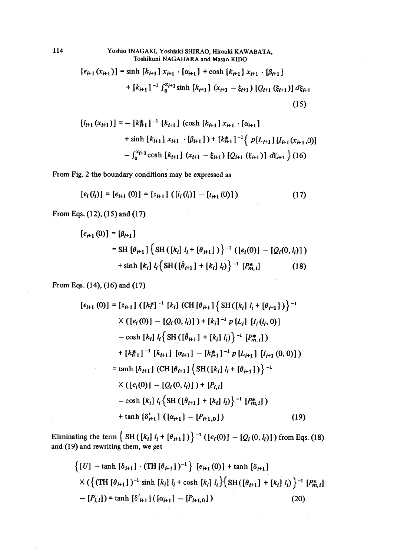## 114 Yoshio lNAGAKI, Yoshiaki SHIRAO, Hiroaki KAWABATA, Toshikuni NAGAHARA and Masao KIDO

$$
[e_{i+1}(x_{i+1})] = \sinh [k_{i+1}] x_{i+1} \cdot [\alpha_{i+1}] + \cosh [k_{i+1}] x_{i+1} \cdot [\beta_{i+1}]
$$
  
+ 
$$
[k_{i+1}]^{-1} \int_0^{x_{i+1}} \sinh [k_{i+1}] (x_{i+1} - \xi_{i+1}) [Q_{i+1} (\xi_{i+1})] d\xi_{i+1}
$$
  
(15)

$$
[i_{i+1}(x_{i+1})] = - [k_{i+1}^*]^{-1} [k_{i+1}] (\cosh [k_{i+1}] x_{i+1} \cdot [\alpha_{i+1}]
$$
  
+ sinh  $[k_{i+1}] x_{i+1} \cdot [\beta_{i+1}] + [k_{i+1}^*]^{-1} \{ p[L_{i+1}] [l_{i+1}(x_{i+1}, 0)] - \int_0^{x_{i+1}} \cosh [k_{i+1}] (x_{i+1} - \xi_{i+1}) [Q_{i+1} (\xi_{i+1})] d\xi_{i+1} \} (16)$ 

From Fig. 2 the boundary conditions may be expressed as

$$
[e_i(l_i)] = [e_{i+1}(0)] = [z_{i+1}] \left( [i_i(l_i)] - [i_{i+1}(0)] \right) \tag{17}
$$

From Eqs.  $(12)$ ,  $(15)$  and  $(17)$ 

$$
[e_{i+1}(0)] = [\beta_{i+1}]
$$
  
= SH  $[\theta_{i+1}]$  { SH  $([k_i] l_i + [\theta_{i+1}])$ }<sup>-1</sup>  $([e_i(0)] - [Q_i(0, l_i)])$   
+ sinh  $[k_i] l_i$  { SH  $([\hat{\theta}_{i+1}] + [k_i] l_i)$ }<sup>-1</sup>  $[P_{m,i}^*]$  (18)

From Eqs. (14), (16) and (17)

$$
[e_{i+1}(0)] = [z_{i+1}] ([k_i^*]^{-1} [k_i] (CH [\theta_{i+1}] {\text{SH}([k_i] l_i + [\theta_{i+1}]) }^{-1}
$$
  
\n
$$
\times ([e_i(0)] - [Q_i(0, l_i)] ) + [k_i]^{-1} p [L_i] [l_i(l_i, 0)]
$$
  
\n
$$
- \cosh [k_i] l_i {\text{SH}([\tilde{\theta}_{i+1}] + [k_i] l_i)}^{-1} [P_{m,i}^*])
$$
  
\n
$$
+ [k_{i+1}^*]^{-1} [k_{i+1}] [\alpha_{i+1}] - [k_{i+1}^*]^{-1} p [L_{i+1}] [l_{i+1}(0, 0)] )
$$
  
\n
$$
= \tanh [\delta_{i+1}] (CH [\theta_{i+1}] {\text{SH}([k_i] l_i + [\theta_{i+1}]) }^{-1}
$$
  
\n
$$
\times ([e_i(0)] - [Q_i(0, l_i)]) + [P_{i,1}]
$$
  
\n
$$
- \cosh [k_i] l_i {\text{SH}([\tilde{\theta}_{i+1}] + [k_i] l_i})^{-1} [P_{m,i}^*])
$$
  
\n
$$
+ \tanh [\delta_{i+1}'] ([\alpha_{i+1}] - [P_{i+1,0}])
$$
  
\n(19)

Eliminating the term  $\int$  SH ([k]  $l + [e+1]$  + [eithild  $\int$  (fei(O)] =  $\int$  (0, 4)]) from Eqs. (1) and  $(19)$  and rewriting them, we get

$$
\begin{aligned}\n\left\{ [U] - \tanh \left[ \delta_{H1} \right] \cdot (\text{TH} \left[ \theta_{H1} \right])^{-1} \right\} \left[ e_{H1}(0) \right] + \tanh \left[ \delta_{H1} \right] \\
&\times \left( \left\{ (\text{TH} \left[ \theta_{H1} \right])^{-1} \sinh \left[ k_i \right] l_i + \cosh \left[ k_i \right] l_i \right\} \left\{ \text{SH} \left( \left[ \theta_{H1} \right] + \left[ k_i \right] l_i \right) \right\}^{-1} \left[ P_{m,i}^* \right] \\
&- \left[ P_{i,i} \right] \right) = \tanh \left[ \delta'_{i+1} \right] \left( \left[ \alpha_{i+1} \right] - \left[ P_{i+1,0} \right] \right)\n\end{aligned} \tag{20}
$$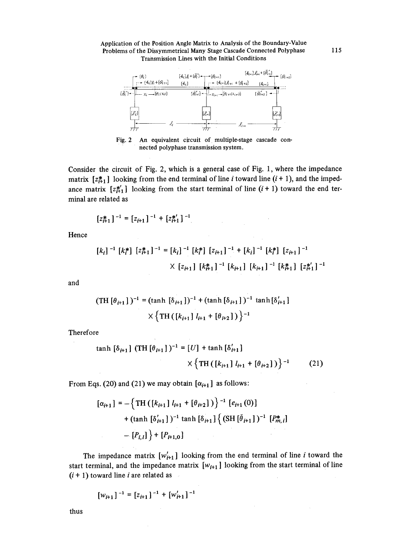



Fig. 2 An equivalent circuit of multiple-stage cascade connected polyphase transmission system.

Consider the circuit of Fig. 2, which is a general case of Fig. 1, where the impedance matrix  $[z_{i+1}^{*}]$  looking from the end terminal of line *i* toward line  $(i + 1)$ , and the impedance matrix  $[z_1^*]$  looking from the start terminal of line  $(i + 1)$  toward the end terminal are related as

$$
[z_{i+1}^*]^{-1} = [z_{i+1}]^{-1} + [z_{i+1}^*]^{-1}
$$

Hence

$$
[k_i]^{-1} [k_i^*] [z_{i+1}^*]^{-1} = [k_i]^{-1} [k_i^*] [z_{i+1}]^{-1} + [k_i]^{-1} [k_i^*] [z_{i+1}]^{-1}
$$
  
 
$$
\times [z_{i+1}] [k_{i+1}^*]^{-1} [k_{i+1}] [k_{i+1}]^{-1} [k_{i+1}^*] [z_{i+1}^*]^{-1}
$$

and

$$
(\text{TH}[\theta_{i+1}])^{-1} = (\tanh [\delta_{i+1}])^{-1} + (\tanh [\delta_{i+1}])^{-1} \tanh [\delta'_{i+1}]
$$
  
 
$$
\times \{ \text{TH}([\mathbf{k}_{i+1} | \mathbf{l}_{i+1} + [\theta_{i+2}]) \}^{-1}
$$

Therefore

$$
\tanh \left[ \delta_{i+1} \right] (\text{TH} \left[ \theta_{i+1} \right])^{-1} = [U] + \tanh \left[ \delta'_{i+1} \right] \times \left\{ \text{TH} \left( \left[ k_{i+1} \right] l_{i+1} + \left[ \theta_{i+2} \right] \right) \right\}^{-1} \tag{21}
$$

From Eqs. (20) and (21) we may obtain  $[\alpha_{i+1}]$  as follows:

$$
[\alpha_{i+1}] = -\left\{ \text{TH}\left( \left[ k_{i+1} \right] l_{i+1} + \left[ \theta_{i+2} \right] \right) \right\}^{-1} \left[ e_{i+1}(0) \right] + (\tanh \left[ \delta'_{i+1} \right] )^{-1} \tanh \left[ \delta_{i+1} \right] \left\{ \left( \text{SH}\left[ \theta_{i+1} \right] \right)^{-1} \left[ P_{m,i}^* \right] \right\} - \left[ P_{i,1} \right] \right\} + \left[ P_{i+1,0} \right]
$$

The impedance matrix  $[w'_{i+1}]$  looking from the end terminal of line i toward the start terminal, and the impedance matrix  $[w_{i+1}]$  looking from the start terminal of line  $(i + 1)$  toward line *i* are related as

$$
[w_{i+1}]^{-1} = [z_{i+1}]^{-1} + [w'_{i+1}]^{-1}
$$

thus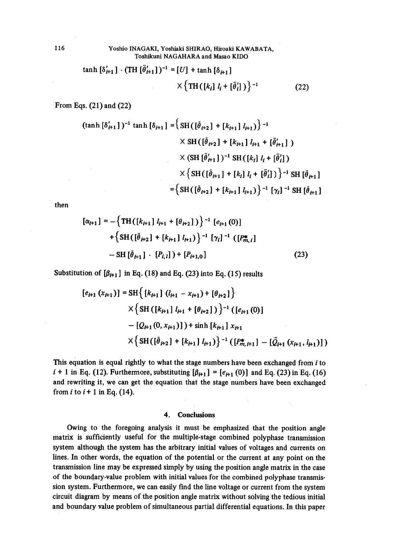### 116 Yoshio lNAGAKI, Yoshiaki SHIRAO, Hiroaki KAWABATA, Toshikuni NAGAHARA and Masae KIDO

$$
\tanh \left[ \delta'_{i+1} \right] \cdot (\text{TH} \left[ \bar{\theta}'_{i+1} \right])^{-1} = [U] + \tanh \left[ \delta_{i+1} \right] \times \left\{ \text{TH} \left( \left[ k_i \right] l_i + \left[ \bar{\theta}'_i \right] \right) \right\}^{-1} \tag{22}
$$

From Eqs. (21) and (22)

$$
(\tanh [\delta'_{t+1}])^{-1} \tanh [\delta_{t+1}] = \left\{ SH([\tilde{\theta}_{t+2}] + [k_{t+1}] l_{t+1}) \right\}^{-1}
$$
  
 
$$
\times SH([\tilde{\theta}_{t+2}] + [k_{t+1}] l_{t+1} + [\tilde{\theta}'_{t+1}] )
$$
  
 
$$
\times (SH[\tilde{\theta}'_{t+1}])^{-1} SH([k_{t}] l_{t} + [\tilde{\theta}'_{t}] )
$$
  
 
$$
\times \left\{ SH([\tilde{\theta}_{t+1}] + [k_{t}] l_{t} + [\tilde{\theta}'_{t}] ) \right\}^{-1} SH[\tilde{\theta}_{t+1}]
$$
  

$$
= \left\{ SH([\tilde{\theta}_{t+2}] + [k_{t+1}] l_{t+1}) \right\}^{-1} [\gamma_{t}]^{-1} SH[\tilde{\theta}_{t+1}]
$$

then

$$
[\alpha_{i+1}] = -\left\{ TH([k_{i+1} | l_{i+1} + [\theta_{i+2}]) \right\}^{-1} [e_{i+1}(0)]
$$
  
+
$$
\left\{ SH([\tilde{\theta}_{i+2}] + [k_{i+1} | l_{i+1}) \right\}^{-1} [\gamma_i]^{-1} ([P_{m,i}^*]
$$
  
-
$$
SH[\tilde{\theta}_{i+1}] \cdot [P_{i,1}] ) + [P_{i+1,0}]
$$
 (23)

Substitution of  $\left[\beta_{t+1}\right]$  in Eq. (18) and Eq. (23) into Eq. (15) results

$$
[e_{i+1}(x_{i+1})] = \mathrm{SH}\Big\{\left[k_{i+1}\right](l_{i+1} - x_{i+1}) + \left[\theta_{i+2}\right]\Big\}
$$
  
 
$$
\times \Big\{\mathrm{SH}\left(\left[k_{i+1}\right]l_{i+1} + \left[\theta_{i+2}\right]\right)\Big\}^{-1}\left(\left[e_{i+1}(0)\right]\right] - \left[Q_{i+1}(0, x_{i+1})\right]\right) + \sinh\left[k_{i+1}\right]x_{i+1}
$$
  
 
$$
\times \Big\{\mathrm{SH}\left(\left[\tilde{\theta}_{i+2}\right] + \left[k_{i+1}\right]l_{i+1}\right)\Big\}^{-1}\left(\left[P_{m,i+1}^*\right] - \left[\tilde{Q}_{i+1}(x_{i+1}, l_{i+1})\right]\right)\Big\}
$$

This equation is equal rightly to what the stage numbers have been exchanged from i to  $i + 1$  in Eq. (12). Furthermore, substituting  $[\beta_{i+1}] = [e_{i+1}(0)]$  and Eq. (23) in Eq. (16) and rewriting it, we can get the equation that the stage numbers have been exchanged from  $i$  to  $i + 1$  in Eq. (14).

#### 4. Conclusions

 Owing to the foregoing analysis it must be emphasized that the position angle matrix is sufficiently usefu1 for the multiple-stage combined polyphase transmission system although the system has the arbitrary initial values of voltages and currents on lines. In other words, the equation of the potential or the current at any point on the transmission line may be expressed simply by using the position angle matrix in the case of the boundary-value problem with initia1 values for the combined polyphase transmission system. Furthermore, we can easily find the line voltage or current from the system circuit diagram by means of the position angle matrix without solving the tedious initial and boundary value problem of simultaneous partial differential equations. In this paper